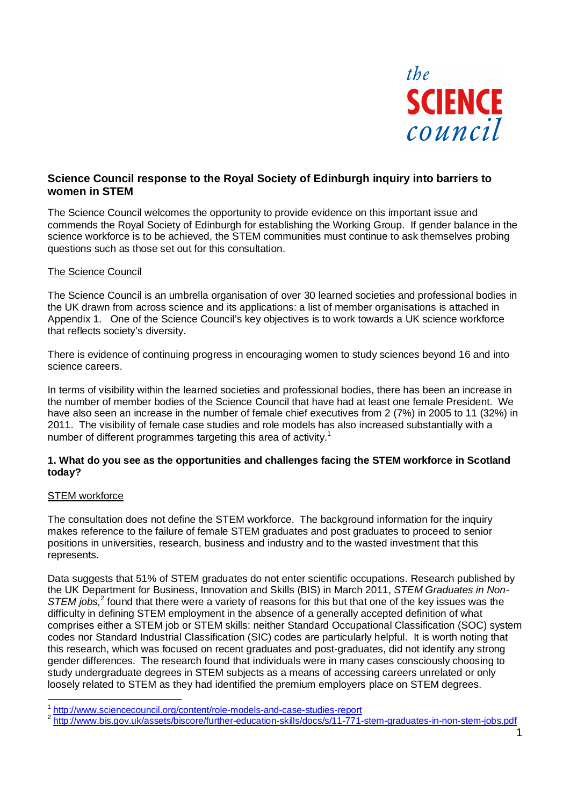

## **Science Council response to the Royal Society of Edinburgh inquiry into barriers to women in STEM**

The Science Council welcomes the opportunity to provide evidence on this important issue and commends the Royal Society of Edinburgh for establishing the Working Group. If gender balance in the science workforce is to be achieved, the STEM communities must continue to ask themselves probing questions such as those set out for this consultation.

## The Science Council

The Science Council is an umbrella organisation of over 30 learned societies and professional bodies in the UK drawn from across science and its applications: a list of member organisations is attached in Appendix 1. One of the Science Council's key objectives is to work towards a UK science workforce that reflects society's diversity.

There is evidence of continuing progress in encouraging women to study sciences beyond 16 and into science careers.

In terms of visibility within the learned societies and professional bodies, there has been an increase in the number of member bodies of the Science Council that have had at least one female President. We have also seen an increase in the number of female chief executives from 2 (7%) in 2005 to 11 (32%) in 2011. The visibility of female case studies and role models has also increased substantially with a number of different programmes targeting this area of activity.<sup>1</sup>

## **1. What do you see as the opportunities and challenges facing the STEM workforce in Scotland today?**

#### STEM workforce

The consultation does not define the STEM workforce. The background information for the inquiry makes reference to the failure of female STEM graduates and post graduates to proceed to senior positions in universities, research, business and industry and to the wasted investment that this represents.

Data suggests that 51% of STEM graduates do not enter scientific occupations. Research published by the UK Department for Business, Innovation and Skills (BIS) in March 2011, STEM Graduates in Non-STEM jobs,<sup>2</sup> found that there were a variety of reasons for this but that one of the key issues was the difficulty in defining STEM employment in the absence of a generally accepted definition of what comprises either a STEM job or STEM skills: neither Standard Occupational Classification (SOC) system codes nor Standard Industrial Classification (SIC) codes are particularly helpful. It is worth noting that this research, which was focused on recent graduates and post-graduates, did not identify any strong gender differences. The research found that individuals were in many cases consciously choosing to study undergraduate degrees in STEM subjects as a means of accessing careers unrelated or only loosely related to STEM as they had identified the premium employers place on STEM degrees.

<sup>&</sup>lt;sup>1</sup> http://www.sciencecouncil.org/content/role-models-and-case-studies-report<br><sup>2</sup> http://www.bis.gov.uk/assets/biscore/further-education-skills/docs/s/11-771-stem-graduates-in-non-stem-jobs.pdf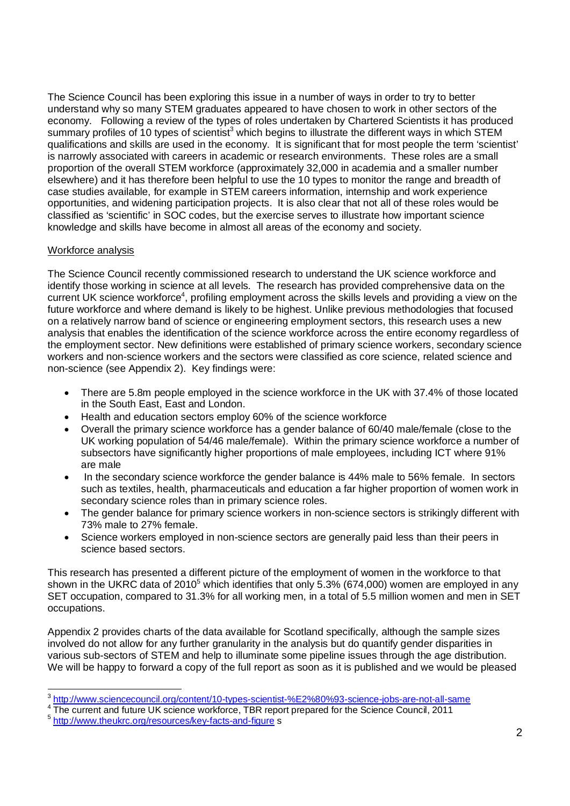The Science Council has been exploring this issue in a number of ways in order to try to better understand why so many STEM graduates appeared to have chosen to work in other sectors of the economy. Following a review of the types of roles undertaken by Chartered Scientists it has produced summary profiles of 10 types of scientist<sup>3</sup> which begins to illustrate the different ways in which STEM qualifications and skills are used in the economy. It is significant that for most people the term 'scientist' is narrowly associated with careers in academic or research environments. These roles are a small proportion of the overall STEM workforce (approximately 32,000 in academia and a smaller number elsewhere) and it has therefore been helpful to use the 10 types to monitor the range and breadth of case studies available, for example in STEM careers information, internship and work experience opportunities, and widening participation projects. It is also clear that not all of these roles would be classified as 'scientific' in SOC codes, but the exercise serves to illustrate how important science knowledge and skills have become in almost all areas of the economy and society.

## Workforce analysis

The Science Council recently commissioned research to understand the UK science workforce and identify those working in science at all levels. The research has provided comprehensive data on the current UK science workforce<sup>4</sup>, profiling employment across the skills levels and providing a view on the future workforce and where demand is likely to be highest. Unlike previous methodologies that focused on a relatively narrow band of science or engineering employment sectors, this research uses a new analysis that enables the identification of the science workforce across the entire economy regardless of the employment sector. New definitions were established of primary science workers, secondary science workers and non-science workers and the sectors were classified as core science, related science and non-science (see Appendix 2). Key findings were:

- There are 5.8m people employed in the science workforce in the UK with 37.4% of those located in the South East, East and London.
- � Health and education sectors employ 60% of the science workforce
- � Overall the primary science workforce has a gender balance of 60/40 male/female (close to the UK working population of 54/46 male/female). Within the primary science workforce a number of subsectors have significantly higher proportions of male employees, including ICT where 91% are male
- In the secondary science workforce the gender balance is 44% male to 56% female. In sectors such as textiles, health, pharmaceuticals and education a far higher proportion of women work in secondary science roles than in primary science roles.
- The gender balance for primary science workers in non-science sectors is strikingly different with 73% male to 27% female.
- � Science workers employed in non-science sectors are generally paid less than their peers in science based sectors.

This research has presented a different picture of the employment of women in the workforce to that shown in the UKRC data of 2010<sup>5</sup> which identifies that only 5.3% (674,000) women are employed in any SET occupation, compared to 31.3% for all working men, in a total of 5.5 million women and men in SET occupations.

Appendix 2 provides charts of the data available for Scotland specifically, although the sample sizes involved do not allow for any further granularity in the analysis but do quantify gender disparities in various sub-sectors of STEM and help to illuminate some pipeline issues through the age distribution. We will be happy to forward a copy of the full report as soon as it is published and we would be pleased

<sup>&</sup>lt;sup>3</sup> http://www.sciencecouncil.org/content/10-types-scientist-%E2%80%93-science-jobs-are-not-all-same

<sup>&</sup>lt;sup>4</sup> The current and future UK science workforce, TBR report prepared for the Science Council, 2011<br>
<sup>5</sup> http://www.theukrc.org/resources/key-facts-and-figure s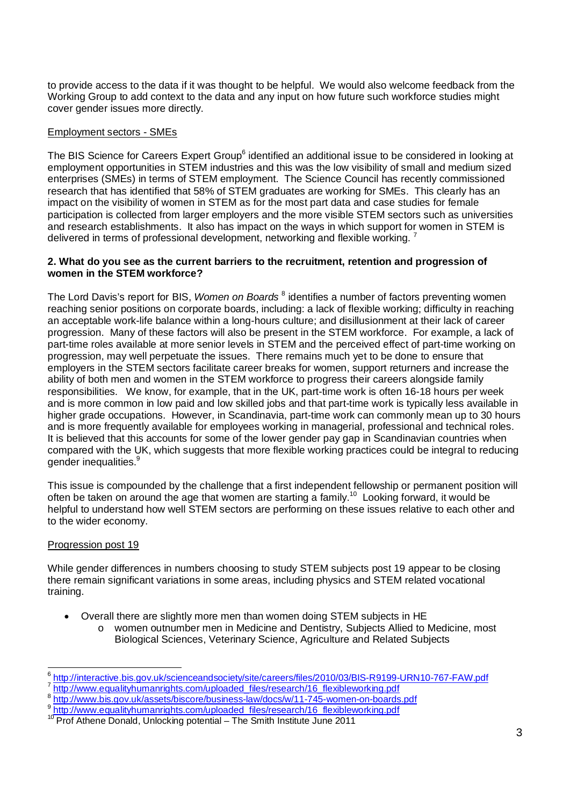to provide access to the data if it was thought to be helpful. We would also welcome feedback from the Working Group to add context to the data and any input on how future such workforce studies might cover gender issues more directly.

## Employment sectors - SMEs

The BIS Science for Careers Expert Group<sup>6</sup> identified an additional issue to be considered in looking at employment opportunities in STEM industries and this was the low visibility of small and medium sized enterprises (SMEs) in terms of STEM employment. The Science Council has recently commissioned research that has identified that 58% of STEM graduates are working for SMEs. This clearly has an impact on the visibility of women in STEM as for the most part data and case studies for female participation is collected from larger employers and the more visible STEM sectors such as universities and research establishments. It also has impact on the ways in which support for women in STEM is delivered in terms of professional development, networking and flexible working.  $^7$ 

## **2. What do you see as the current barriers to the recruitment, retention and progression of women in the STEM workforce?**

The Lord Davis's report for BIS, Women on Boards <sup>8</sup> identifies a number of factors preventing women reaching senior positions on corporate boards, including: a lack of flexible working; difficulty in reaching an acceptable work-life balance within a long-hours culture; and disillusionment at their lack of career progression. Many of these factors will also be present in the STEM workforce. For example, a lack of part-time roles available at more senior levels in STEM and the perceived effect of part-time working on progression, may well perpetuate the issues. There remains much yet to be done to ensure that employers in the STEM sectors facilitate career breaks for women, support returners and increase the ability of both men and women in the STEM workforce to progress their careers alongside family responsibilities. We know, for example, that in the UK, part-time work is often 16-18 hours per week and is more common in low paid and low skilled jobs and that part-time work is typically less available in higher grade occupations. However, in Scandinavia, part-time work can commonly mean up to 30 hours and is more frequently available for employees working in managerial, professional and technical roles. It is believed that this accounts for some of the lower gender pay gap in Scandinavian countries when compared with the UK, which suggests that more flexible working practices could be integral to reducing gender inequalities.<sup>9</sup>

This issue is compounded by the challenge that a first independent fellowship or permanent position will often be taken on around the age that women are starting a family.10 Looking forward, it would be helpful to understand how well STEM sectors are performing on these issues relative to each other and to the wider economy.

## Progression post 19

While gender differences in numbers choosing to study STEM subjects post 19 appear to be closing there remain significant variations in some areas, including physics and STEM related vocational training.

- � Overall there are slightly more men than women doing STEM subjects in HE
	- o women outnumber men in Medicine and Dentistry, Subjects Allied to Medicine, most Biological Sciences, Veterinary Science, Agriculture and Related Subjects

 $\frac{\text{A} \frac{\text{http://interactive.bis.gov.uk/science} \text{and} \text{soc} \cdot \text{http://interactive.bis.gov.uk/science} \text{and} \text{soc} \cdot \text{http://www.equality} \text{human} \cdot \text{com/uploaded files/research/16 flexible} \text{working.pdf}}{\frac{\text{http://www.equality} \text{human} \cdot \text{non/uploaded files/research/16 flexible} \text{working.pdf}}{\frac{\text{http://www.bis.gov.uk/assets/biscore/business-law/docs/w/11-745-women-on-boards.pdf}}$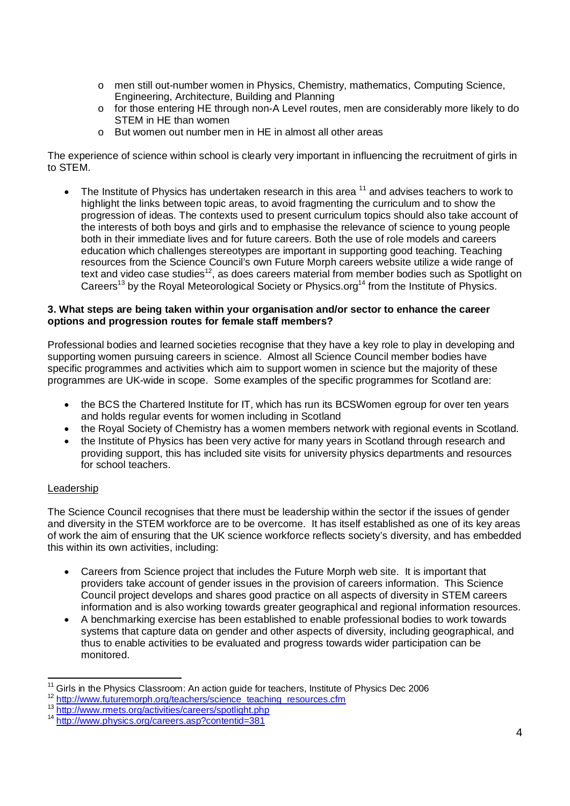- o men still out-number women in Physics, Chemistry, mathematics, Computing Science, Engineering, Architecture, Building and Planning
- o for those entering HE through non-A Level routes, men are considerably more likely to do STEM in HE than women
- o But women out number men in HE in almost all other areas

The experience of science within school is clearly very important in influencing the recruitment of girls in to STEM.

 $\bullet$  The Institute of Physics has undertaken research in this area  $^{11}$  and advises teachers to work to highlight the links between topic areas, to avoid fragmenting the curriculum and to show the progression of ideas. The contexts used to present curriculum topics should also take account of the interests of both boys and girls and to emphasise the relevance of science to young people both in their immediate lives and for future careers. Both the use of role models and careers education which challenges stereotypes are important in supporting good teaching. Teaching resources from the Science Council's own Future Morph careers website utilize a wide range of text and video case studies<sup>12</sup>, as does careers material from member bodies such as Spotlight on Careers<sup>13</sup> by the Royal Meteorological Society or Physics.org<sup>14</sup> from the Institute of Physics.

## **3. What steps are being taken within your organisation and/or sector to enhance the career options and progression routes for female staff members?**

Professional bodies and learned societies recognise that they have a key role to play in developing and supporting women pursuing careers in science. Almost all Science Council member bodies have specific programmes and activities which aim to support women in science but the majority of these programmes are UK-wide in scope. Some examples of the specific programmes for Scotland are:

- the BCS the Chartered Institute for IT, which has run its BCSWomen egroup for over ten years and holds regular events for women including in Scotland
- � the Royal Society of Chemistry has a women members network with regional events in Scotland.
- � the Institute of Physics has been very active for many years in Scotland through research and providing support, this has included site visits for university physics departments and resources for school teachers.

## Leadership

The Science Council recognises that there must be leadership within the sector if the issues of gender and diversity in the STEM workforce are to be overcome. It has itself established as one of its key areas of work the aim of ensuring that the UK science workforce reflects society's diversity, and has embedded this within its own activities, including:

- Careers from Science project that includes the Future Morph web site. It is important that providers take account of gender issues in the provision of careers information. This Science Council project develops and shares good practice on all aspects of diversity in STEM careers information and is also working towards greater geographical and regional information resources.
- � A benchmarking exercise has been established to enable professional bodies to work towards systems that capture data on gender and other aspects of diversity, including geographical, and thus to enable activities to be evaluated and progress towards wider participation can be monitored.

<sup>&</sup>lt;sup>11</sup> Girls in the Physics Classroom: An action guide for teachers, Institute of Physics Dec 2006<br>  $\frac{^{12} \text{ http://www.tuturemorph.org/teaches/science} \text{ teachers/science} }{^{13} \text{ http://www.tuturemorph.org/teaches/science} \text{teachers/spotlight.php}}$ <br>  $\frac{^{14} \text{http://www.nnets.org/actives/careers/spotlight.php}}{^{14} \text{ http://www.bhvisics.org/careers.asp?contentid$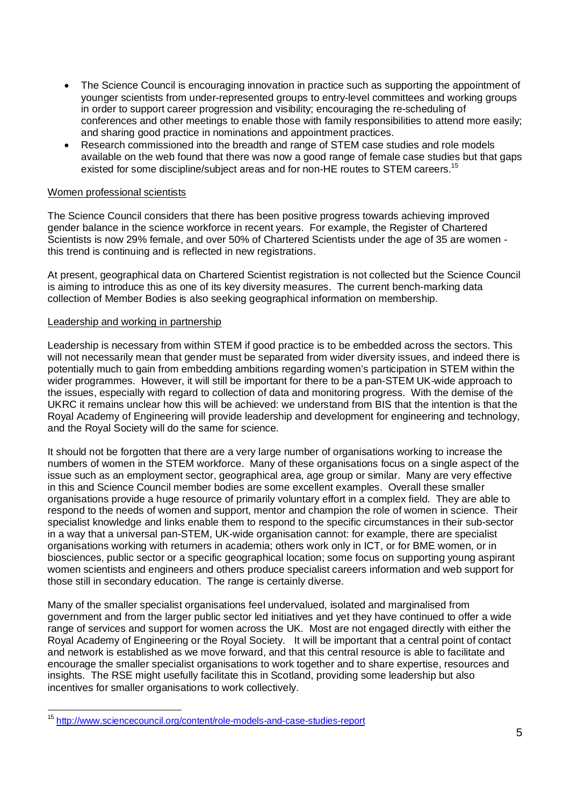- � The Science Council is encouraging innovation in practice such as supporting the appointment of younger scientists from under-represented groups to entry-level committees and working groups in order to support career progression and visibility; encouraging the re-scheduling of conferences and other meetings to enable those with family responsibilities to attend more easily; and sharing good practice in nominations and appointment practices.
- � Research commissioned into the breadth and range of STEM case studies and role models available on the web found that there was now a good range of female case studies but that gaps existed for some discipline/subject areas and for non-HE routes to STEM careers.<sup>15</sup>

## Women professional scientists

The Science Council considers that there has been positive progress towards achieving improved gender balance in the science workforce in recent years. For example, the Register of Chartered Scientists is now 29% female, and over 50% of Chartered Scientists under the age of 35 are women this trend is continuing and is reflected in new registrations.

At present, geographical data on Chartered Scientist registration is not collected but the Science Council is aiming to introduce this as one of its key diversity measures. The current bench-marking data collection of Member Bodies is also seeking geographical information on membership.

#### Leadership and working in partnership

Leadership is necessary from within STEM if good practice is to be embedded across the sectors. This will not necessarily mean that gender must be separated from wider diversity issues, and indeed there is potentially much to gain from embedding ambitions regarding women's participation in STEM within the wider programmes. However, it will still be important for there to be a pan-STEM UK-wide approach to the issues, especially with regard to collection of data and monitoring progress. With the demise of the UKRC it remains unclear how this will be achieved: we understand from BIS that the intention is that the Royal Academy of Engineering will provide leadership and development for engineering and technology, and the Royal Society will do the same for science.

It should not be forgotten that there are a very large number of organisations working to increase the numbers of women in the STEM workforce. Many of these organisations focus on a single aspect of the issue such as an employment sector, geographical area, age group or similar. Many are very effective in this and Science Council member bodies are some excellent examples. Overall these smaller organisations provide a huge resource of primarily voluntary effort in a complex field. They are able to respond to the needs of women and support, mentor and champion the role of women in science. Their specialist knowledge and links enable them to respond to the specific circumstances in their sub-sector in a way that a universal pan-STEM, UK-wide organisation cannot: for example, there are specialist organisations working with returners in academia; others work only in ICT, or for BME women, or in biosciences, public sector or a specific geographical location; some focus on supporting young aspirant women scientists and engineers and others produce specialist careers information and web support for those still in secondary education. The range is certainly diverse.

Many of the smaller specialist organisations feel undervalued, isolated and marginalised from government and from the larger public sector led initiatives and yet they have continued to offer a wide range of services and support for women across the UK. Most are not engaged directly with either the Royal Academy of Engineering or the Royal Society. It will be important that a central point of contact and network is established as we move forward, and that this central resource is able to facilitate and encourage the smaller specialist organisations to work together and to share expertise, resources and insights. The RSE might usefully facilitate this in Scotland, providing some leadership but also incentives for smaller organisations to work collectively.

 <sup>15</sup> http://www.sciencecouncil.org/content/role-models-and-case-studies-report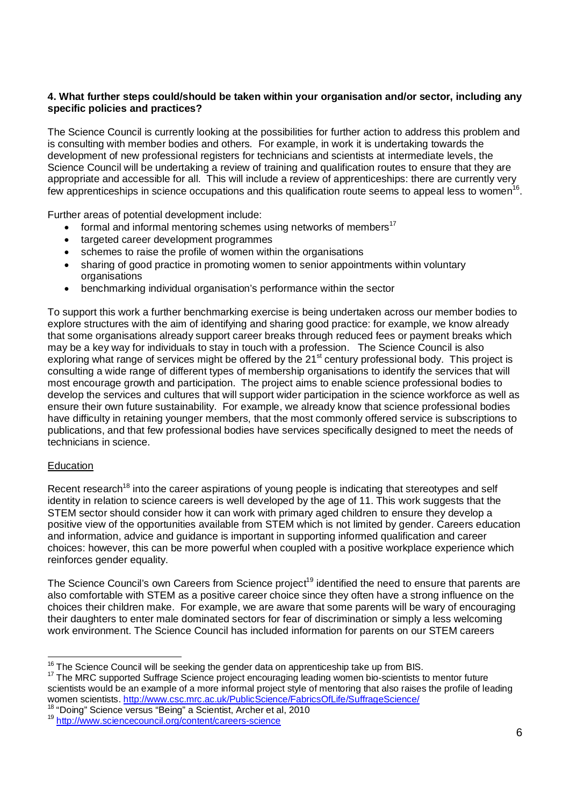## **4. What further steps could/should be taken within your organisation and/or sector, including any specific policies and practices?**

The Science Council is currently looking at the possibilities for further action to address this problem and is consulting with member bodies and others. For example, in work it is undertaking towards the development of new professional registers for technicians and scientists at intermediate levels, the Science Council will be undertaking a review of training and qualification routes to ensure that they are appropriate and accessible for all. This will include a review of apprenticeships: there are currently very few apprenticeships in science occupations and this qualification route seems to appeal less to women<sup>16</sup>.

Further areas of potential development include:

- $\bullet$  formal and informal mentoring schemes using networks of members<sup>17</sup>
- targeted career development programmes
- schemes to raise the profile of women within the organisations
- � sharing of good practice in promoting women to senior appointments within voluntary organisations
- � benchmarking individual organisation's performance within the sector

To support this work a further benchmarking exercise is being undertaken across our member bodies to explore structures with the aim of identifying and sharing good practice: for example, we know already that some organisations already support career breaks through reduced fees or payment breaks which may be a key way for individuals to stay in touch with a profession. The Science Council is also exploring what range of services might be offered by the 21<sup>st</sup> century professional body. This project is consulting a wide range of different types of membership organisations to identify the services that will most encourage growth and participation. The project aims to enable science professional bodies to develop the services and cultures that will support wider participation in the science workforce as well as ensure their own future sustainability. For example, we already know that science professional bodies have difficulty in retaining younger members, that the most commonly offered service is subscriptions to publications, and that few professional bodies have services specifically designed to meet the needs of technicians in science.

#### **Education**

Recent research<sup>18</sup> into the career aspirations of young people is indicating that stereotypes and self identity in relation to science careers is well developed by the age of 11. This work suggests that the STEM sector should consider how it can work with primary aged children to ensure they develop a positive view of the opportunities available from STEM which is not limited by gender. Careers education and information, advice and guidance is important in supporting informed qualification and career choices: however, this can be more powerful when coupled with a positive workplace experience which reinforces gender equality.

The Science Council's own Careers from Science project<sup>19</sup> identified the need to ensure that parents are also comfortable with STEM as a positive career choice since they often have a strong influence on the choices their children make. For example, we are aware that some parents will be wary of encouraging their daughters to enter male dominated sectors for fear of discrimination or simply a less welcoming work environment. The Science Council has included information for parents on our STEM careers

<sup>&</sup>lt;sup>16</sup> The Science Council will be seeking the gender data on apprenticeship take up from BIS.<br><sup>17</sup> The MRC supported Suffrage Science project encouraging leading women bio-scientists to mentor future scientists would be an example of a more informal project style of mentoring that also raises the profile of leading women scientists. http://www.csc.mrc.ac.uk/PublicScience/FabricsOfLife/SuffrageScience/<br><sup>18</sup> "Doing" Science versus "Being" a Scientist, Archer et al, 2010

<sup>19</sup> http://www.sciencecouncil.org/content/careers-science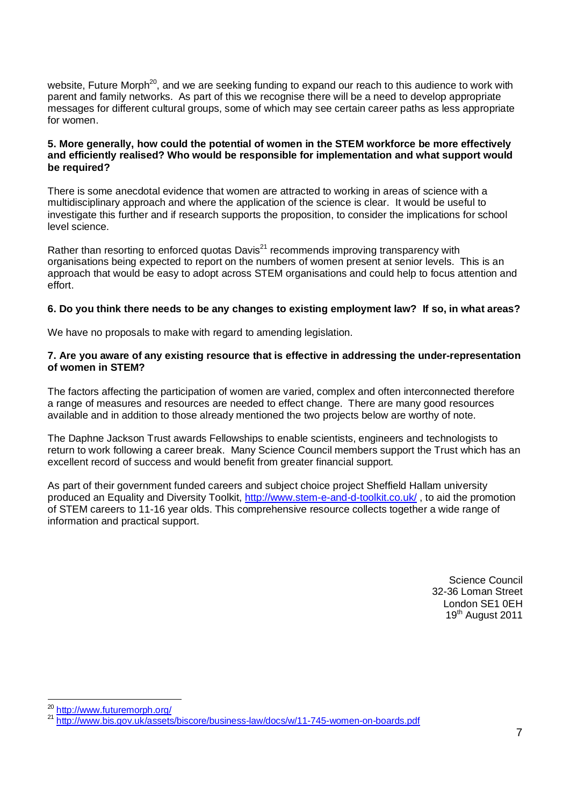website, Future Morph<sup>20</sup>, and we are seeking funding to expand our reach to this audience to work with parent and family networks. As part of this we recognise there will be a need to develop appropriate messages for different cultural groups, some of which may see certain career paths as less appropriate for women.

## **5. More generally, how could the potential of women in the STEM workforce be more effectively and efficiently realised? Who would be responsible for implementation and what support would be required?**

There is some anecdotal evidence that women are attracted to working in areas of science with a multidisciplinary approach and where the application of the science is clear. It would be useful to investigate this further and if research supports the proposition, to consider the implications for school level science.

Rather than resorting to enforced quotas Davis<sup>21</sup> recommends improving transparency with organisations being expected to report on the numbers of women present at senior levels. This is an approach that would be easy to adopt across STEM organisations and could help to focus attention and effort.

## **6. Do you think there needs to be any changes to existing employment law? If so, in what areas?**

We have no proposals to make with regard to amending legislation.

### **7. Are you aware of any existing resource that is effective in addressing the under-representation of women in STEM?**

The factors affecting the participation of women are varied, complex and often interconnected therefore a range of measures and resources are needed to effect change. There are many good resources available and in addition to those already mentioned the two projects below are worthy of note.

The Daphne Jackson Trust awards Fellowships to enable scientists, engineers and technologists to return to work following a career break. Many Science Council members support the Trust which has an excellent record of success and would benefit from greater financial support.

As part of their government funded careers and subject choice project Sheffield Hallam university produced an Equality and Diversity Toolkit, http://www.stem-e-and-d-toolkit.co.uk/ , to aid the promotion of STEM careers to 11-16 year olds. This comprehensive resource collects together a wide range of information and practical support.

> Science Council 32-36 Loman Street London SE1 0EH 19<sup>th</sup> August 2011

<sup>&</sup>lt;sup>20</sup> http://www.futuremorph.org/<br><sup>21</sup> http://www.bis.gov.uk/assets/biscore/business-law/docs/w/11<u>-745-women-on-boards.pdf</u>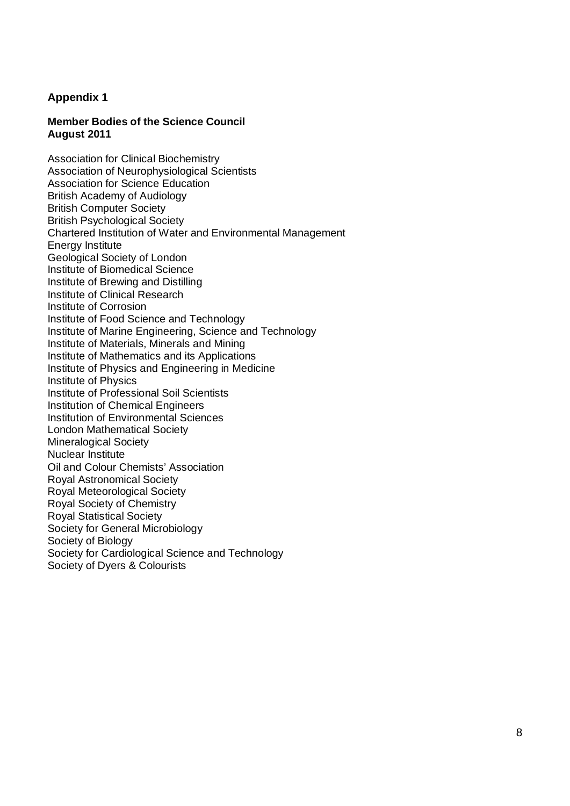## **Appendix 1**

## **Member Bodies of the Science Council August 2011**

Association for Clinical Biochemistry Association of Neurophysiological Scientists Association for Science Education British Academy of Audiology British Computer Society British Psychological Society Chartered Institution of Water and Environmental Management Energy Institute Geological Society of London Institute of Biomedical Science Institute of Brewing and Distilling Institute of Clinical Research Institute of Corrosion Institute of Food Science and Technology Institute of Marine Engineering, Science and Technology Institute of Materials, Minerals and Mining Institute of Mathematics and its Applications Institute of Physics and Engineering in Medicine Institute of Physics Institute of Professional Soil Scientists Institution of Chemical Engineers Institution of Environmental Sciences London Mathematical Society Mineralogical Society Nuclear Institute Oil and Colour Chemists' Association Royal Astronomical Society Royal Meteorological Society Royal Society of Chemistry Royal Statistical Society Society for General Microbiology Society of Biology Society for Cardiological Science and Technology Society of Dyers & Colourists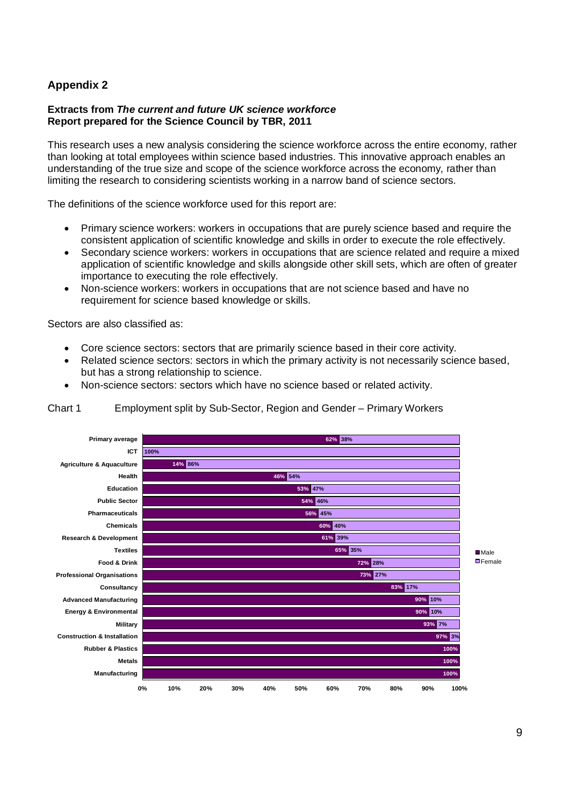# **Appendix 2**

## **Extracts from The current and future UK science workforce Report prepared for the Science Council by TBR, 2011**

This research uses a new analysis considering the science workforce across the entire economy, rather than looking at total employees within science based industries. This innovative approach enables an understanding of the true size and scope of the science workforce across the economy, rather than limiting the research to considering scientists working in a narrow band of science sectors.

The definitions of the science workforce used for this report are:

- � Primary science workers: workers in occupations that are purely science based and require the consistent application of scientific knowledge and skills in order to execute the role effectively.
- � Secondary science workers: workers in occupations that are science related and require a mixed application of scientific knowledge and skills alongside other skill sets, which are often of greater importance to executing the role effectively.
- � Non-science workers: workers in occupations that are not science based and have no requirement for science based knowledge or skills.

Sectors are also classified as:

- � Core science sectors: sectors that are primarily science based in their core activity.
- Related science sectors: sectors in which the primary activity is not necessarily science based, but has a strong relationship to science.
- � Non-science sectors: sectors which have no science based or related activity.



Chart 1 Employment split by Sub-Sector, Region and Gender – Primary Workers